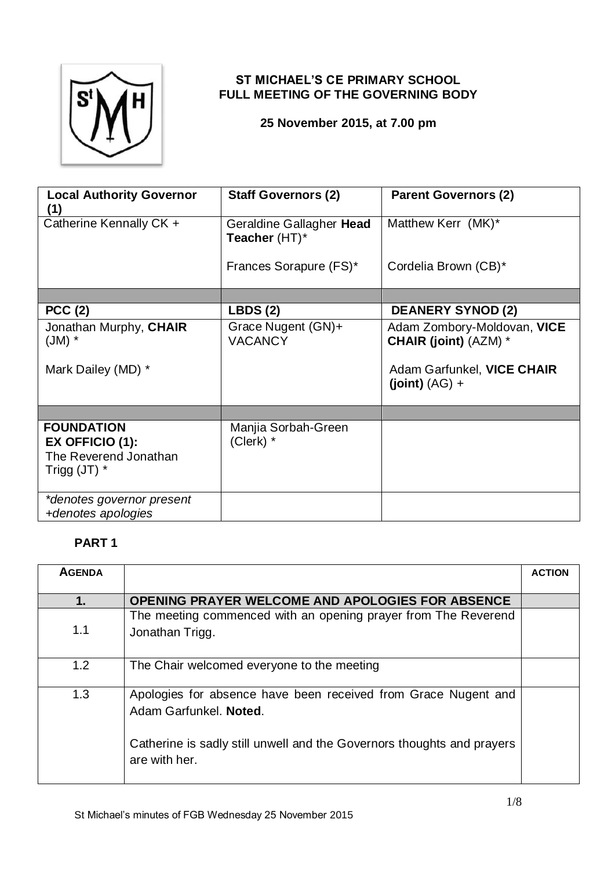

## **ST MICHAEL'S CE PRIMARY SCHOOL FULL MEETING OF THE GOVERNING BODY**

### **25 November 2015, at 7.00 pm**

| <b>Local Authority Governor</b><br>41                                           | <b>Staff Governors (2)</b>                | <b>Parent Governors (2)</b>                                                               |
|---------------------------------------------------------------------------------|-------------------------------------------|-------------------------------------------------------------------------------------------|
| Catherine Kennally CK +                                                         | Geraldine Gallagher Head<br>Teacher (HT)* | Matthew Kerr (MK)*                                                                        |
|                                                                                 | Frances Sorapure (FS)*                    | Cordelia Brown (CB)*                                                                      |
|                                                                                 |                                           |                                                                                           |
| PCC(2)                                                                          | LBDS(2)                                   | <b>DEANERY SYNOD (2)</b>                                                                  |
| Jonathan Murphy, CHAIR<br>$(M)$ *<br>Mark Dailey (MD) *                         | Grace Nugent (GN)+<br><b>VACANCY</b>      | Adam Zombory-Moldovan, VICE<br><b>CHAIR (joint) (AZM) *</b><br>Adam Garfunkel, VICE CHAIR |
|                                                                                 |                                           | $(joint) (AG) +$                                                                          |
|                                                                                 |                                           |                                                                                           |
| <b>FOUNDATION</b><br>EX OFFICIO (1):<br>The Reverend Jonathan<br>Trigg $(JT)$ * | Manjia Sorbah-Green<br>(Clerk) *          |                                                                                           |
| *denotes governor present<br>+denotes apologies                                 |                                           |                                                                                           |

## **PART 1**

| <b>AGENDA</b> |                                                                                                                                                                                     | <b>ACTION</b> |
|---------------|-------------------------------------------------------------------------------------------------------------------------------------------------------------------------------------|---------------|
| 1.            | <b>OPENING PRAYER WELCOME AND APOLOGIES FOR ABSENCE</b>                                                                                                                             |               |
| 1.1           | The meeting commenced with an opening prayer from The Reverend<br>Jonathan Trigg.                                                                                                   |               |
| 1.2           | The Chair welcomed everyone to the meeting                                                                                                                                          |               |
| 1.3           | Apologies for absence have been received from Grace Nugent and<br>Adam Garfunkel. Noted.<br>Catherine is sadly still unwell and the Governors thoughts and prayers<br>are with her. |               |
|               |                                                                                                                                                                                     |               |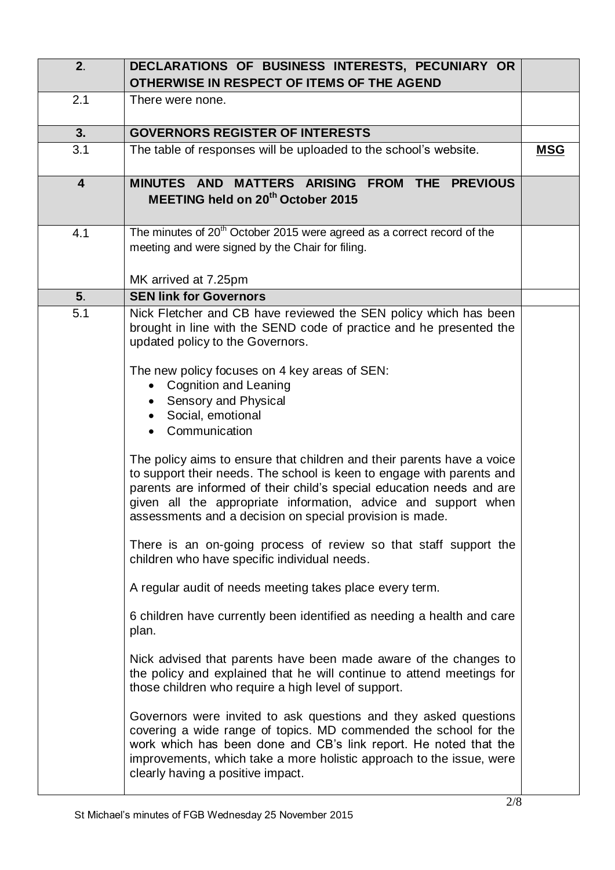| 2.                      | DECLARATIONS OF BUSINESS INTERESTS, PECUNIARY OR<br>OTHERWISE IN RESPECT OF ITEMS OF THE AGEND                                                                                                                                                                                                                                                         |            |
|-------------------------|--------------------------------------------------------------------------------------------------------------------------------------------------------------------------------------------------------------------------------------------------------------------------------------------------------------------------------------------------------|------------|
| 2.1                     | There were none.                                                                                                                                                                                                                                                                                                                                       |            |
| 3.                      | <b>GOVERNORS REGISTER OF INTERESTS</b>                                                                                                                                                                                                                                                                                                                 |            |
| 3.1                     | The table of responses will be uploaded to the school's website.                                                                                                                                                                                                                                                                                       | <b>MSG</b> |
| $\overline{\mathbf{4}}$ | MINUTES AND MATTERS ARISING FROM THE PREVIOUS<br>MEETING held on 20 <sup>th</sup> October 2015                                                                                                                                                                                                                                                         |            |
| 4.1                     | The minutes of 20 <sup>th</sup> October 2015 were agreed as a correct record of the<br>meeting and were signed by the Chair for filing.<br>MK arrived at 7.25pm                                                                                                                                                                                        |            |
| 5 <sub>1</sub>          | <b>SEN link for Governors</b>                                                                                                                                                                                                                                                                                                                          |            |
| 5.1                     | Nick Fletcher and CB have reviewed the SEN policy which has been<br>brought in line with the SEND code of practice and he presented the<br>updated policy to the Governors.<br>The new policy focuses on 4 key areas of SEN:<br>• Cognition and Leaning<br>Sensory and Physical<br>Social, emotional<br>Communication                                  |            |
|                         | The policy aims to ensure that children and their parents have a voice<br>to support their needs. The school is keen to engage with parents and<br>parents are informed of their child's special education needs and are<br>given all the appropriate information, advice and support when<br>assessments and a decision on special provision is made. |            |
|                         | There is an on-going process of review so that staff support the<br>children who have specific individual needs.                                                                                                                                                                                                                                       |            |
|                         | A regular audit of needs meeting takes place every term.                                                                                                                                                                                                                                                                                               |            |
|                         | 6 children have currently been identified as needing a health and care<br>plan.                                                                                                                                                                                                                                                                        |            |
|                         | Nick advised that parents have been made aware of the changes to<br>the policy and explained that he will continue to attend meetings for<br>those children who require a high level of support.                                                                                                                                                       |            |
|                         | Governors were invited to ask questions and they asked questions<br>covering a wide range of topics. MD commended the school for the<br>work which has been done and CB's link report. He noted that the<br>improvements, which take a more holistic approach to the issue, were<br>clearly having a positive impact.                                  |            |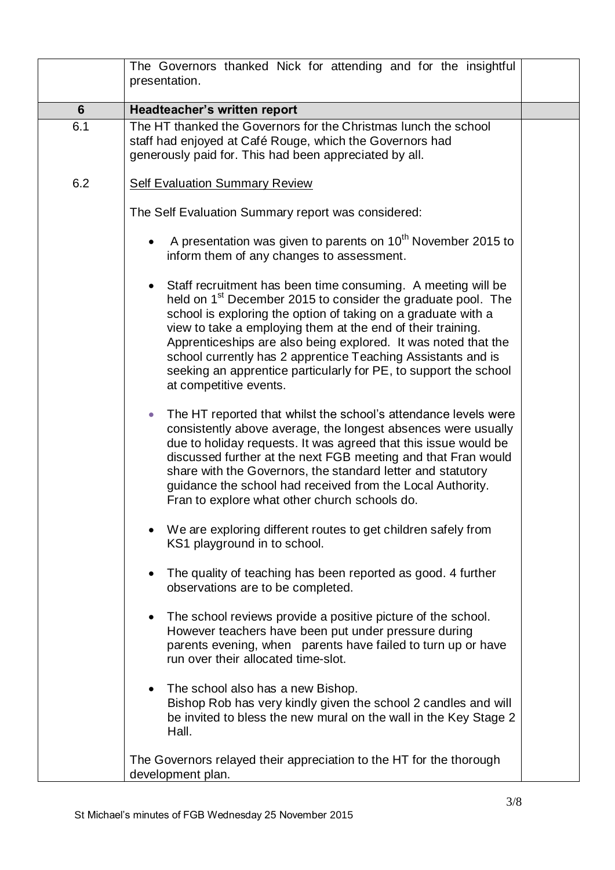|                | The Governors thanked Nick for attending and for the insightful<br>presentation.                                                                                                                                                                                                                                                                                                                                                                                                                         |  |
|----------------|----------------------------------------------------------------------------------------------------------------------------------------------------------------------------------------------------------------------------------------------------------------------------------------------------------------------------------------------------------------------------------------------------------------------------------------------------------------------------------------------------------|--|
| $6\phantom{1}$ | Headteacher's written report                                                                                                                                                                                                                                                                                                                                                                                                                                                                             |  |
| 6.1            | The HT thanked the Governors for the Christmas lunch the school<br>staff had enjoyed at Café Rouge, which the Governors had<br>generously paid for. This had been appreciated by all.                                                                                                                                                                                                                                                                                                                    |  |
| 6.2            | <b>Self Evaluation Summary Review</b>                                                                                                                                                                                                                                                                                                                                                                                                                                                                    |  |
|                | The Self Evaluation Summary report was considered:                                                                                                                                                                                                                                                                                                                                                                                                                                                       |  |
|                | A presentation was given to parents on 10 <sup>th</sup> November 2015 to<br>inform them of any changes to assessment.                                                                                                                                                                                                                                                                                                                                                                                    |  |
|                | Staff recruitment has been time consuming. A meeting will be<br>held on 1 <sup>st</sup> December 2015 to consider the graduate pool. The<br>school is exploring the option of taking on a graduate with a<br>view to take a employing them at the end of their training.<br>Apprenticeships are also being explored. It was noted that the<br>school currently has 2 apprentice Teaching Assistants and is<br>seeking an apprentice particularly for PE, to support the school<br>at competitive events. |  |
|                | The HT reported that whilst the school's attendance levels were<br>$\bullet$<br>consistently above average, the longest absences were usually<br>due to holiday requests. It was agreed that this issue would be<br>discussed further at the next FGB meeting and that Fran would<br>share with the Governors, the standard letter and statutory<br>guidance the school had received from the Local Authority.<br>Fran to explore what other church schools do.                                          |  |
|                | We are exploring different routes to get children safely from<br>KS1 playground in to school.                                                                                                                                                                                                                                                                                                                                                                                                            |  |
|                | The quality of teaching has been reported as good. 4 further<br>observations are to be completed.                                                                                                                                                                                                                                                                                                                                                                                                        |  |
|                | The school reviews provide a positive picture of the school.<br>However teachers have been put under pressure during<br>parents evening, when parents have failed to turn up or have<br>run over their allocated time-slot.                                                                                                                                                                                                                                                                              |  |
|                | The school also has a new Bishop.<br>Bishop Rob has very kindly given the school 2 candles and will<br>be invited to bless the new mural on the wall in the Key Stage 2<br>Hall.                                                                                                                                                                                                                                                                                                                         |  |
|                | The Governors relayed their appreciation to the HT for the thorough<br>development plan.                                                                                                                                                                                                                                                                                                                                                                                                                 |  |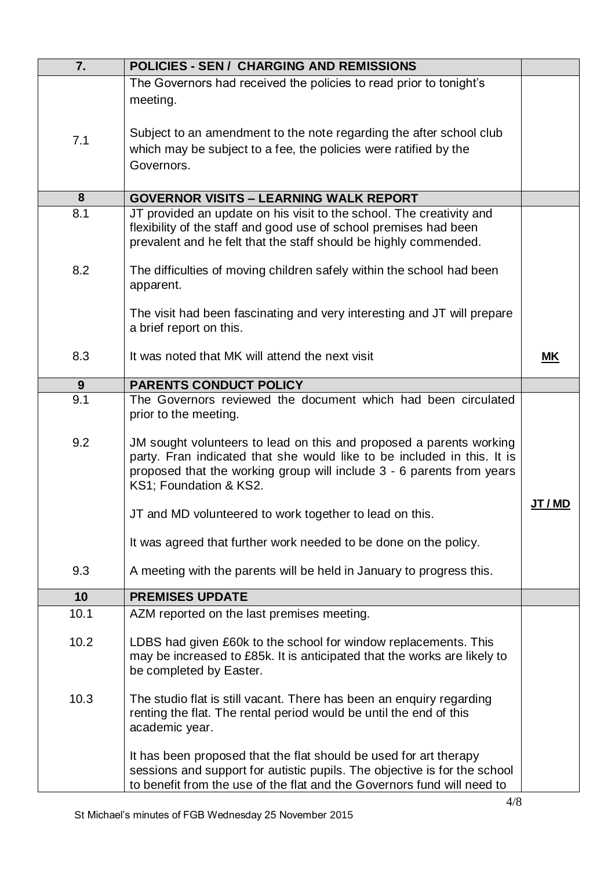| 7.   | <b>POLICIES - SEN / CHARGING AND REMISSIONS</b>                                                                                                                                                                           |              |
|------|---------------------------------------------------------------------------------------------------------------------------------------------------------------------------------------------------------------------------|--------------|
|      | The Governors had received the policies to read prior to tonight's                                                                                                                                                        |              |
|      | meeting.                                                                                                                                                                                                                  |              |
|      |                                                                                                                                                                                                                           |              |
| 7.1  | Subject to an amendment to the note regarding the after school club                                                                                                                                                       |              |
|      | which may be subject to a fee, the policies were ratified by the                                                                                                                                                          |              |
|      | Governors.                                                                                                                                                                                                                |              |
|      |                                                                                                                                                                                                                           |              |
| 8    | <b>GOVERNOR VISITS - LEARNING WALK REPORT</b>                                                                                                                                                                             |              |
| 8.1  | JT provided an update on his visit to the school. The creativity and<br>flexibility of the staff and good use of school premises had been                                                                                 |              |
|      | prevalent and he felt that the staff should be highly commended.                                                                                                                                                          |              |
|      |                                                                                                                                                                                                                           |              |
| 8.2  | The difficulties of moving children safely within the school had been                                                                                                                                                     |              |
|      | apparent.                                                                                                                                                                                                                 |              |
|      | The visit had been fascinating and very interesting and JT will prepare                                                                                                                                                   |              |
|      | a brief report on this.                                                                                                                                                                                                   |              |
|      |                                                                                                                                                                                                                           |              |
| 8.3  | It was noted that MK will attend the next visit                                                                                                                                                                           | ΜK           |
| 9    | <b>PARENTS CONDUCT POLICY</b>                                                                                                                                                                                             |              |
| 9.1  | The Governors reviewed the document which had been circulated                                                                                                                                                             |              |
|      | prior to the meeting.                                                                                                                                                                                                     |              |
| 9.2  |                                                                                                                                                                                                                           |              |
|      | JM sought volunteers to lead on this and proposed a parents working<br>party. Fran indicated that she would like to be included in this. It is                                                                            |              |
|      | proposed that the working group will include 3 - 6 parents from years                                                                                                                                                     |              |
|      | KS1; Foundation & KS2.                                                                                                                                                                                                    |              |
|      |                                                                                                                                                                                                                           | <b>JT/MD</b> |
|      | JT and MD volunteered to work together to lead on this.                                                                                                                                                                   |              |
|      | It was agreed that further work needed to be done on the policy.                                                                                                                                                          |              |
|      |                                                                                                                                                                                                                           |              |
| 9.3  | A meeting with the parents will be held in January to progress this.                                                                                                                                                      |              |
| 10   | <b>PREMISES UPDATE</b>                                                                                                                                                                                                    |              |
| 10.1 | AZM reported on the last premises meeting.                                                                                                                                                                                |              |
|      |                                                                                                                                                                                                                           |              |
| 10.2 | LDBS had given £60k to the school for window replacements. This<br>may be increased to £85k. It is anticipated that the works are likely to                                                                               |              |
|      | be completed by Easter.                                                                                                                                                                                                   |              |
|      |                                                                                                                                                                                                                           |              |
| 10.3 | The studio flat is still vacant. There has been an enquiry regarding                                                                                                                                                      |              |
|      | renting the flat. The rental period would be until the end of this                                                                                                                                                        |              |
|      | academic year.                                                                                                                                                                                                            |              |
|      |                                                                                                                                                                                                                           |              |
|      |                                                                                                                                                                                                                           |              |
|      | It has been proposed that the flat should be used for art therapy<br>sessions and support for autistic pupils. The objective is for the school<br>to benefit from the use of the flat and the Governors fund will need to |              |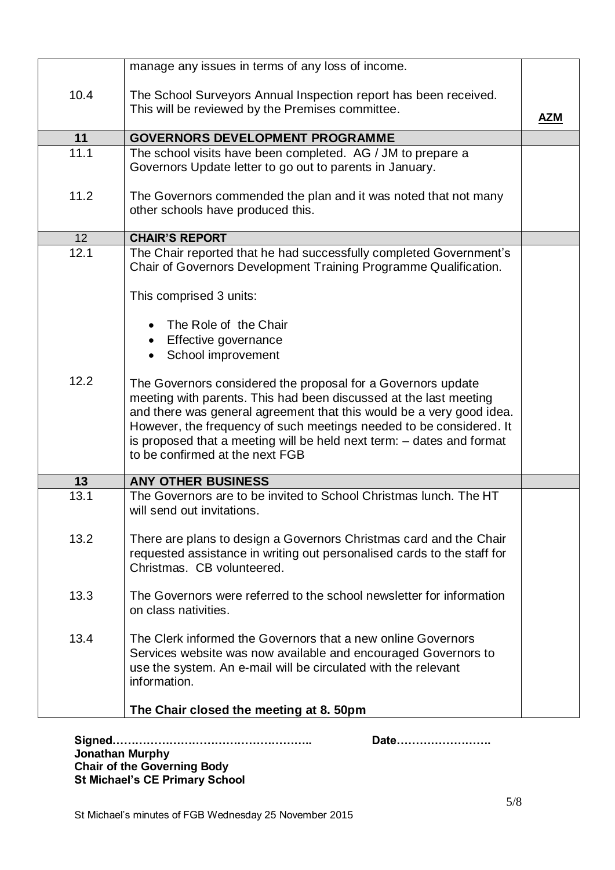|                 | manage any issues in terms of any loss of income.                                                                                                                                                                                                                                                                                                                                            |     |
|-----------------|----------------------------------------------------------------------------------------------------------------------------------------------------------------------------------------------------------------------------------------------------------------------------------------------------------------------------------------------------------------------------------------------|-----|
| 10.4            | The School Surveyors Annual Inspection report has been received.<br>This will be reviewed by the Premises committee.                                                                                                                                                                                                                                                                         | AZM |
| 11              | <b>GOVERNORS DEVELOPMENT PROGRAMME</b>                                                                                                                                                                                                                                                                                                                                                       |     |
| 11.1            | The school visits have been completed. AG / JM to prepare a<br>Governors Update letter to go out to parents in January.                                                                                                                                                                                                                                                                      |     |
| 11.2            | The Governors commended the plan and it was noted that not many<br>other schools have produced this.                                                                                                                                                                                                                                                                                         |     |
| 12 <sup>2</sup> | <b>CHAIR'S REPORT</b>                                                                                                                                                                                                                                                                                                                                                                        |     |
| 12.1            | The Chair reported that he had successfully completed Government's<br>Chair of Governors Development Training Programme Qualification.                                                                                                                                                                                                                                                       |     |
|                 | This comprised 3 units:                                                                                                                                                                                                                                                                                                                                                                      |     |
|                 | The Role of the Chair                                                                                                                                                                                                                                                                                                                                                                        |     |
|                 |                                                                                                                                                                                                                                                                                                                                                                                              |     |
|                 | Effective governance<br>School improvement                                                                                                                                                                                                                                                                                                                                                   |     |
|                 |                                                                                                                                                                                                                                                                                                                                                                                              |     |
| 12.2            | The Governors considered the proposal for a Governors update<br>meeting with parents. This had been discussed at the last meeting<br>and there was general agreement that this would be a very good idea.<br>However, the frequency of such meetings needed to be considered. It<br>is proposed that a meeting will be held next term: - dates and format<br>to be confirmed at the next FGB |     |
| 13              | <b>ANY OTHER BUSINESS</b>                                                                                                                                                                                                                                                                                                                                                                    |     |
| 13.1            | The Governors are to be invited to School Christmas lunch. The HT<br>will send out invitations.                                                                                                                                                                                                                                                                                              |     |
| 13.2            | There are plans to design a Governors Christmas card and the Chair<br>requested assistance in writing out personalised cards to the staff for<br>Christmas. CB volunteered.                                                                                                                                                                                                                  |     |
| 13.3            | The Governors were referred to the school newsletter for information<br>on class nativities.                                                                                                                                                                                                                                                                                                 |     |
| 13.4            | The Clerk informed the Governors that a new online Governors<br>Services website was now available and encouraged Governors to<br>use the system. An e-mail will be circulated with the relevant<br>information.                                                                                                                                                                             |     |
|                 | The Chair closed the meeting at 8. 50pm                                                                                                                                                                                                                                                                                                                                                      |     |

**Signed…………………………………………….. Date……………………. Jonathan Murphy Chair of the Governing Body St Michael's CE Primary School**